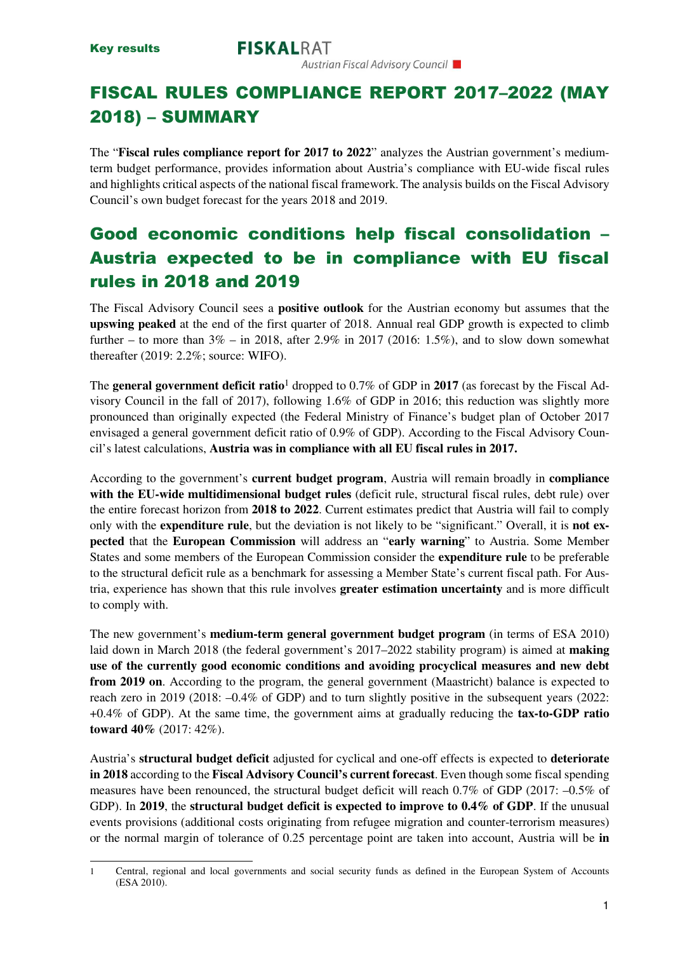# FISCAL RULES COMPLIANCE REPORT 2017–2022 (MAY 2018) – SUMMARY

The "**Fiscal rules compliance report for 2017 to 2022**" analyzes the Austrian government's mediumterm budget performance, provides information about Austria's compliance with EU-wide fiscal rules and highlights critical aspects of the national fiscal framework.The analysis builds on the Fiscal Advisory Council's own budget forecast for the years 2018 and 2019.

# Good economic conditions help fiscal consolidation – Austria expected to be in compliance with EU fiscal rules in 2018 and 2019

The Fiscal Advisory Council sees a **positive outlook** for the Austrian economy but assumes that the **upswing peaked** at the end of the first quarter of 2018. Annual real GDP growth is expected to climb further – to more than  $3\%$  – in 2018, after 2.9% in 2017 (2016: 1.5%), and to slow down somewhat thereafter (2019: 2.2%; source: WIFO).

The **general government deficit ratio**1 dropped to 0.7% of GDP in **2017** (as forecast by the Fiscal Advisory Council in the fall of 2017), following 1.6% of GDP in 2016; this reduction was slightly more pronounced than originally expected (the Federal Ministry of Finance's budget plan of October 2017 envisaged a general government deficit ratio of 0.9% of GDP). According to the Fiscal Advisory Council's latest calculations, **Austria was in compliance with all EU fiscal rules in 2017.**

According to the government's **current budget program**, Austria will remain broadly in **compliance with the EU-wide multidimensional budget rules** (deficit rule, structural fiscal rules, debt rule) over the entire forecast horizon from **2018 to 2022**. Current estimates predict that Austria will fail to comply only with the **expenditure rule**, but the deviation is not likely to be "significant." Overall, it is **not expected** that the **European Commission** will address an "**early warning**" to Austria. Some Member States and some members of the European Commission consider the **expenditure rule** to be preferable to the structural deficit rule as a benchmark for assessing a Member State's current fiscal path. For Austria, experience has shown that this rule involves **greater estimation uncertainty** and is more difficult to comply with.

The new government's **medium-term general government budget program** (in terms of ESA 2010) laid down in March 2018 (the federal government's 2017–2022 stability program) is aimed at **making use of the currently good economic conditions and avoiding procyclical measures and new debt from 2019 on.** According to the program, the general government (Maastricht) balance is expected to reach zero in 2019 (2018: –0.4% of GDP) and to turn slightly positive in the subsequent years (2022: +0.4% of GDP). At the same time, the government aims at gradually reducing the **tax-to-GDP ratio toward 40%** (2017: 42%).

Austria's **structural budget deficit** adjusted for cyclical and one-off effects is expected to **deteriorate in 2018** according to the **Fiscal Advisory Council's current forecast**. Even though some fiscal spending measures have been renounced, the structural budget deficit will reach 0.7% of GDP (2017: –0.5% of GDP). In **2019**, the **structural budget deficit is expected to improve to 0.4% of GDP**. If the unusual events provisions (additional costs originating from refugee migration and counter-terrorism measures) or the normal margin of tolerance of 0.25 percentage point are taken into account, Austria will be **in** 

<sup>1</sup> Central, regional and local governments and social security funds as defined in the European System of Accounts (ESA 2010).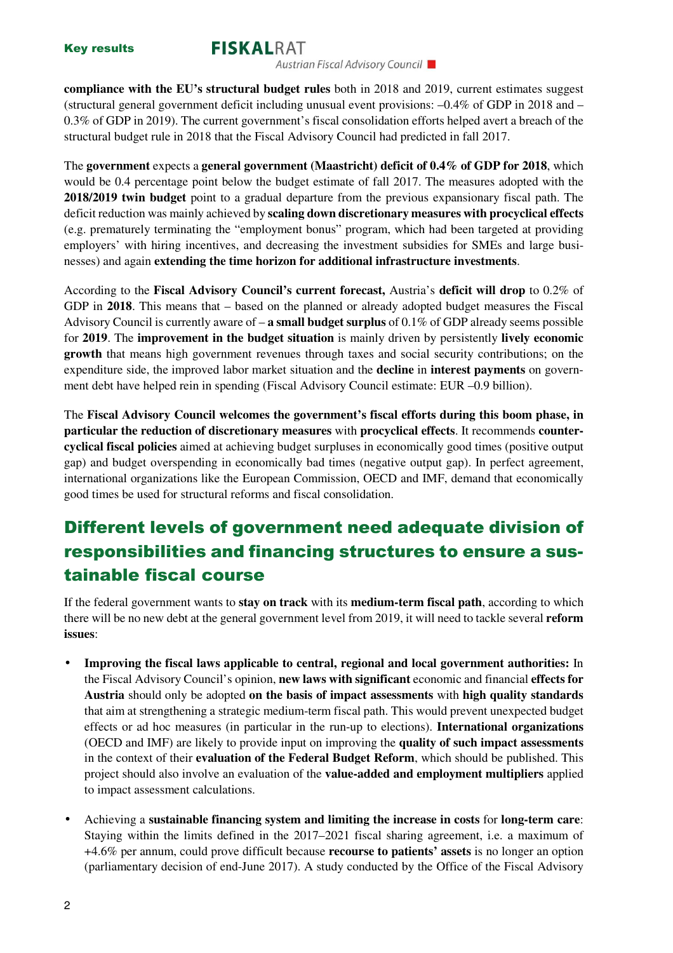#### **FISKALRAT**

Austrian Fiscal Advisory Council

**compliance with the EU's structural budget rules** both in 2018 and 2019, current estimates suggest (structural general government deficit including unusual event provisions: –0.4% of GDP in 2018 and – 0.3% of GDP in 2019). The current government's fiscal consolidation efforts helped avert a breach of the structural budget rule in 2018 that the Fiscal Advisory Council had predicted in fall 2017.

The **government** expects a **general government (Maastricht) deficit of 0.4% of GDP for 2018**, which would be 0.4 percentage point below the budget estimate of fall 2017. The measures adopted with the **2018/2019 twin budget** point to a gradual departure from the previous expansionary fiscal path. The deficit reduction was mainly achieved by **scaling down discretionary measures with procyclical effects**  (e.g. prematurely terminating the "employment bonus" program, which had been targeted at providing employers' with hiring incentives, and decreasing the investment subsidies for SMEs and large businesses) and again **extending the time horizon for additional infrastructure investments**.

According to the **Fiscal Advisory Council's current forecast,** Austria's **deficit will drop** to 0.2% of GDP in **2018**. This means that – based on the planned or already adopted budget measures the Fiscal Advisory Council is currently aware of – **a small budget surplus** of 0.1% of GDP already seems possible for **2019**. The **improvement in the budget situation** is mainly driven by persistently **lively economic growth** that means high government revenues through taxes and social security contributions; on the expenditure side, the improved labor market situation and the **decline** in **interest payments** on government debt have helped rein in spending (Fiscal Advisory Council estimate: EUR –0.9 billion).

The **Fiscal Advisory Council welcomes the government's fiscal efforts during this boom phase, in particular the reduction of discretionary measures** with **procyclical effects**. It recommends **countercyclical fiscal policies** aimed at achieving budget surpluses in economically good times (positive output gap) and budget overspending in economically bad times (negative output gap). In perfect agreement, international organizations like the European Commission, OECD and IMF, demand that economically good times be used for structural reforms and fiscal consolidation.

### Different levels of government need adequate division of responsibilities and financing structures to ensure a sustainable fiscal course

If the federal government wants to **stay on track** with its **medium-term fiscal path**, according to which there will be no new debt at the general government level from 2019, it will need to tackle several **reform issues**:

- **Improving the fiscal laws applicable to central, regional and local government authorities:** In the Fiscal Advisory Council's opinion, **new laws with significant** economic and financial **effects for Austria** should only be adopted **on the basis of impact assessments** with **high quality standards** that aim at strengthening a strategic medium-term fiscal path. This would prevent unexpected budget effects or ad hoc measures (in particular in the run-up to elections). **International organizations** (OECD and IMF) are likely to provide input on improving the **quality of such impact assessments** in the context of their **evaluation of the Federal Budget Reform**, which should be published. This project should also involve an evaluation of the **value-added and employment multipliers** applied to impact assessment calculations.
- Achieving a **sustainable financing system and limiting the increase in costs** for **long-term care**: Staying within the limits defined in the 2017–2021 fiscal sharing agreement, i.e. a maximum of +4.6% per annum, could prove difficult because **recourse to patients' assets** is no longer an option (parliamentary decision of end-June 2017). A study conducted by the Office of the Fiscal Advisory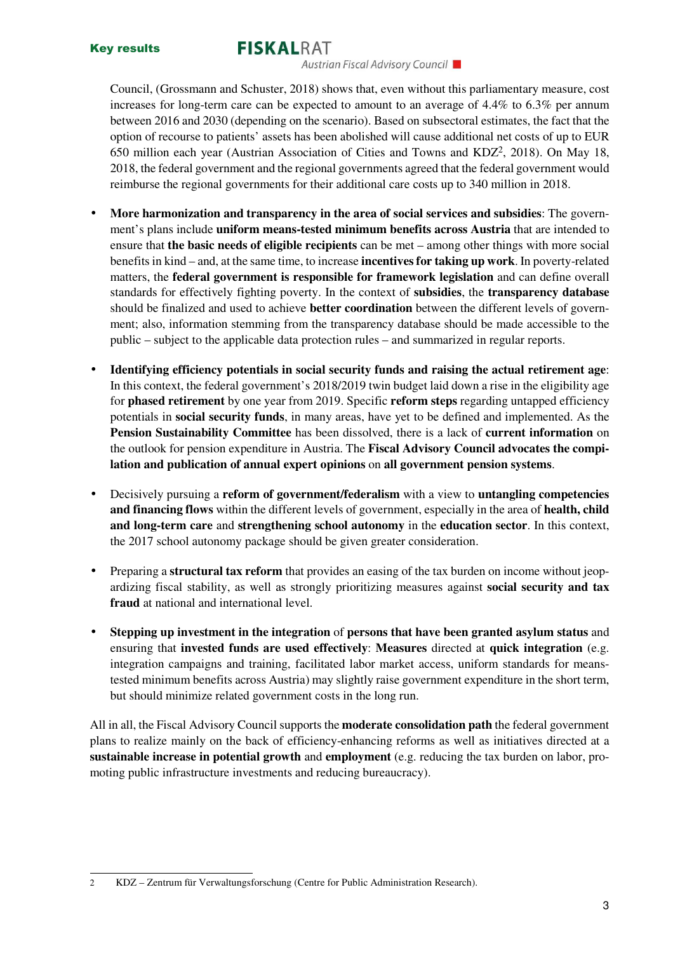### **FISKALRAT**

Austrian Fiscal Advisory Council

Council, (Grossmann and Schuster, 2018) shows that, even without this parliamentary measure, cost increases for long-term care can be expected to amount to an average of 4.4% to 6.3% per annum between 2016 and 2030 (depending on the scenario). Based on subsectoral estimates, the fact that the option of recourse to patients' assets has been abolished will cause additional net costs of up to EUR 650 million each year (Austrian Association of Cities and Towns and KDZ2, 2018). On May 18, 2018, the federal government and the regional governments agreed that the federal government would reimburse the regional governments for their additional care costs up to 340 million in 2018.

- **More harmonization and transparency in the area of social services and subsidies**: The government's plans include **uniform means-tested minimum benefits across Austria** that are intended to ensure that **the basic needs of eligible recipients** can be met – among other things with more social benefits in kind – and, at the same time, to increase **incentives for taking up work**. In poverty-related matters, the **federal government is responsible for framework legislation** and can define overall standards for effectively fighting poverty. In the context of **subsidies**, the **transparency database**  should be finalized and used to achieve **better coordination** between the different levels of government; also, information stemming from the transparency database should be made accessible to the public – subject to the applicable data protection rules – and summarized in regular reports.
- **Identifying efficiency potentials in social security funds and raising the actual retirement age**: In this context, the federal government's 2018/2019 twin budget laid down a rise in the eligibility age for **phased retirement** by one year from 2019. Specific **reform steps** regarding untapped efficiency potentials in **social security funds**, in many areas, have yet to be defined and implemented. As the **Pension Sustainability Committee** has been dissolved, there is a lack of **current information** on the outlook for pension expenditure in Austria. The **Fiscal Advisory Council advocates the compilation and publication of annual expert opinions** on **all government pension systems**.
- Decisively pursuing a **reform of government/federalism** with a view to **untangling competencies and financing flows** within the different levels of government, especially in the area of **health, child and long-term care** and **strengthening school autonomy** in the **education sector**. In this context, the 2017 school autonomy package should be given greater consideration.
- Preparing a **structural tax reform** that provides an easing of the tax burden on income without jeopardizing fiscal stability, as well as strongly prioritizing measures against **social security and tax fraud** at national and international level.
- **Stepping up investment in the integration** of **persons that have been granted asylum status** and ensuring that **invested funds are used effectively**: **Measures** directed at **quick integration** (e.g. integration campaigns and training, facilitated labor market access, uniform standards for meanstested minimum benefits across Austria) may slightly raise government expenditure in the short term, but should minimize related government costs in the long run.

All in all, the Fiscal Advisory Council supports the **moderate consolidation path** the federal government plans to realize mainly on the back of efficiency-enhancing reforms as well as initiatives directed at a **sustainable increase in potential growth** and **employment** (e.g. reducing the tax burden on labor, promoting public infrastructure investments and reducing bureaucracy).

<sup>2</sup> KDZ – Zentrum für Verwaltungsforschung (Centre for Public Administration Research).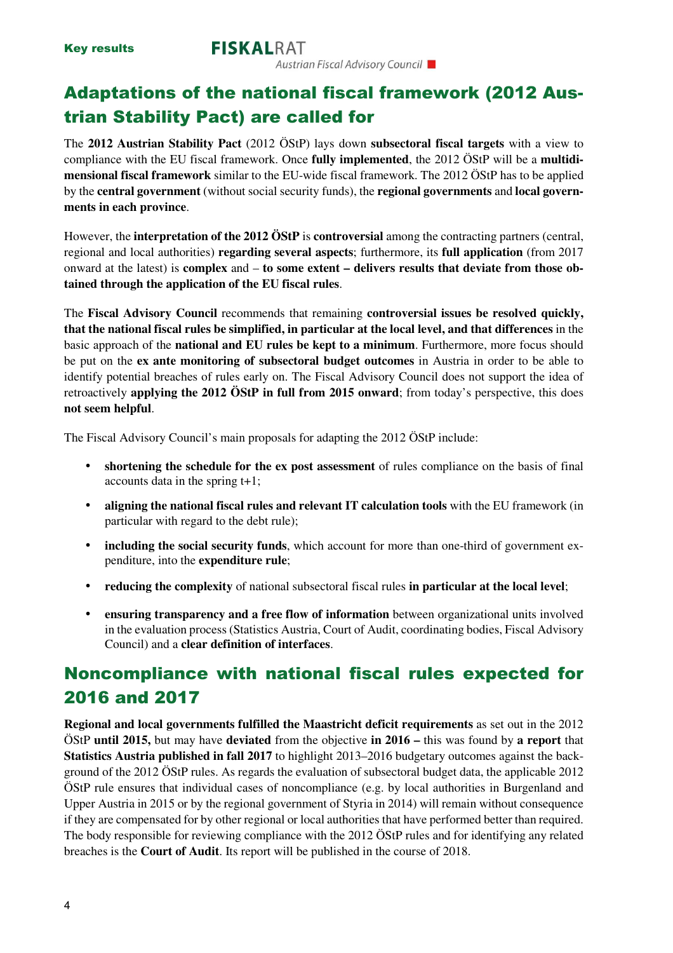Key results

### Adaptations of the national fiscal framework (2012 Austrian Stability Pact) are called for

The **2012 Austrian Stability Pact** (2012 ÖStP) lays down **subsectoral fiscal targets** with a view to compliance with the EU fiscal framework. Once **fully implemented**, the 2012 ÖStP will be a **multidimensional fiscal framework** similar to the EU-wide fiscal framework. The 2012 ÖStP has to be applied by the **central government** (without social security funds), the **regional governments** and **local governments in each province**.

However, the **interpretation of the 2012 ÖStP** is **controversial** among the contracting partners (central, regional and local authorities) **regarding several aspects**; furthermore, its **full application** (from 2017 onward at the latest) is **complex** and – **to some extent – delivers results that deviate from those obtained through the application of the EU fiscal rules**.

The **Fiscal Advisory Council** recommends that remaining **controversial issues be resolved quickly, that the national fiscal rules be simplified, in particular at the local level, and that differences** in the basic approach of the **national and EU rules be kept to a minimum**. Furthermore, more focus should be put on the **ex ante monitoring of subsectoral budget outcomes** in Austria in order to be able to identify potential breaches of rules early on. The Fiscal Advisory Council does not support the idea of retroactively **applying the 2012 ÖStP in full from 2015 onward**; from today's perspective, this does **not seem helpful**.

The Fiscal Advisory Council's main proposals for adapting the 2012 ÖStP include:

- **shortening the schedule for the ex post assessment** of rules compliance on the basis of final accounts data in the spring t+1;
- **aligning the national fiscal rules and relevant IT calculation tools** with the EU framework (in particular with regard to the debt rule);
- **including the social security funds**, which account for more than one-third of government expenditure, into the **expenditure rule**;
- **reducing the complexity** of national subsectoral fiscal rules **in particular at the local level**;
- **ensuring transparency and a free flow of information** between organizational units involved in the evaluation process (Statistics Austria, Court of Audit, coordinating bodies, Fiscal Advisory Council) and a **clear definition of interfaces**.

### Noncompliance with national fiscal rules expected for 2016 and 2017

**Regional and local governments fulfilled the Maastricht deficit requirements** as set out in the 2012 ÖStP **until 2015,** but may have **deviated** from the objective **in 2016 –** this was found by **a report** that **Statistics Austria published in fall 2017** to highlight 2013–2016 budgetary outcomes against the background of the 2012 ÖStP rules. As regards the evaluation of subsectoral budget data, the applicable 2012 ÖStP rule ensures that individual cases of noncompliance (e.g. by local authorities in Burgenland and Upper Austria in 2015 or by the regional government of Styria in 2014) will remain without consequence if they are compensated for by other regional or local authorities that have performed better than required. The body responsible for reviewing compliance with the 2012 ÖStP rules and for identifying any related breaches is the **Court of Audit**. Its report will be published in the course of 2018.